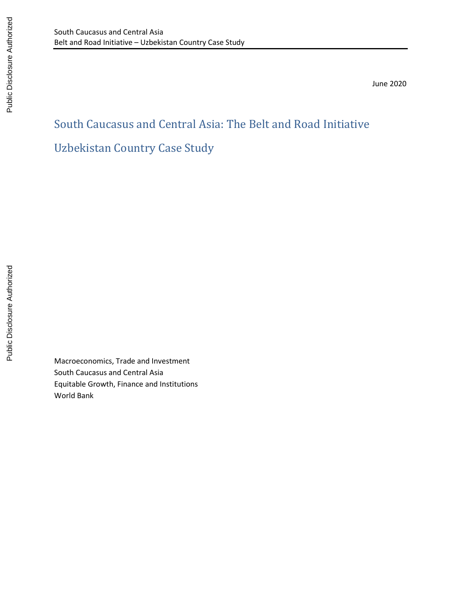June 2020

# South Caucasus and Central Asia: The Belt and Road Initiative Uzbekistan Country Case Study

Macroeconomics, Trade and Investment South Caucasus and Central Asia Equitable Growth, Finance and Institutions World Bank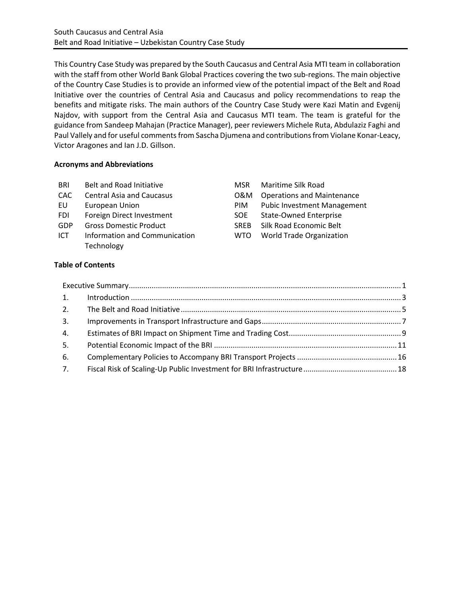This Country Case Study was prepared by the South Caucasus and Central Asia MTI team in collaboration with the staff from other World Bank Global Practices covering the two sub-regions. The main objective of the Country Case Studies is to provide an informed view of the potential impact of the Belt and Road Initiative over the countries of Central Asia and Caucasus and policy recommendations to reap the benefits and mitigate risks. The main authors of the Country Case Study were Kazi Matin and Evgenij Najdov, with support from the Central Asia and Caucasus MTI team. The team is grateful for the guidance from Sandeep Mahajan (Practice Manager), peer reviewers Michele Ruta, Abdulaziz Faghi and Paul Vallely and for useful comments from Sascha Djumena and contributions from Violane Konar-Leacy, Victor Aragones and Ian J.D. Gillson.

#### **Acronyms and Abbreviations**

| BRI<br>Belt and Road Initiative |  | Maritime Silk Road |
|---------------------------------|--|--------------------|
|---------------------------------|--|--------------------|

- CAC Central Asia and Caucasus CAC Operations and Maintenance
- EU European Union Public Investment Public Investment Public Investment Public Investment Public Investment Ma
- FDI Foreign Direct Investment S
- GDP Gross Domestic Product
- ICT Information and Communication W Technology

| MSR  | <b>Maritime Silk Road</b>          |
|------|------------------------------------|
| N&C  | <b>Operations and Maintenance</b>  |
| PIM  | <b>Pubic Investment Management</b> |
| SOE  | <b>State-Owned Enterprise</b>      |
| SREB | Silk Road Economic Belt            |
| WTO  | <b>World Trade Organization</b>    |
|      |                                    |

# **Table of Contents**

| 2. |  |
|----|--|
| 3. |  |
| 4. |  |
| 5. |  |
| 6. |  |
| 7. |  |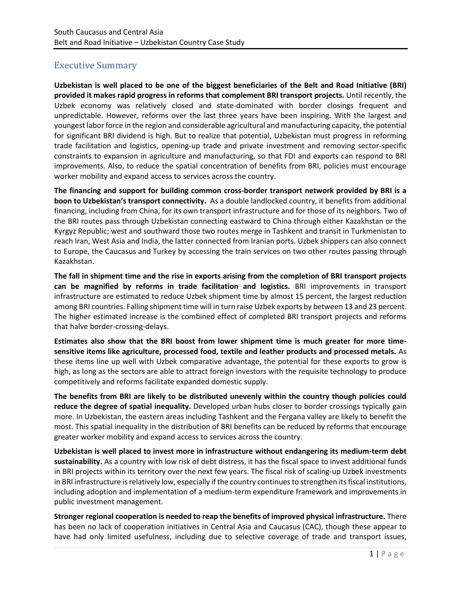# <span id="page-2-0"></span>Executive Summary

**Uzbekistan is well placed to be one of the biggest beneficiaries of the Belt and Road Initiative (BRI) provided it makes rapid progress in reforms that complement BRI transport projects.** Until recently, the Uzbek economy was relatively closed and state-dominated with border closings frequent and unpredictable. However, reforms over the last three years have been inspiring. With the largest and youngest labor force in the region and considerable agricultural and manufacturing capacity, the potential for significant BRI dividend is high. But to realize that potential, Uzbekistan must progress in reforming trade facilitation and logistics, opening-up trade and private investment and removing sector-specific constraints to expansion in agriculture and manufacturing, so that FDI and exports can respond to BRI improvements. Also, to reduce the spatial concentration of benefits from BRI, policies must encourage worker mobility and expand access to services across the country.

**The financing and support for building common cross-border transport network provided by BRI is a boon to Uzbekistan's transport connectivity.** As a double landlocked country, it benefits from additional financing, including from China, for its own transport infrastructure and for those of its neighbors. Two of the BRI routes pass through Uzbekistan connecting eastward to China through either Kazakhstan or the Kyrgyz Republic; west and southward those two routes merge in Tashkent and transit in Turkmenistan to reach Iran, West Asia and India, the latter connected from Iranian ports. Uzbek shippers can also connect to Europe, the Caucasus and Turkey by accessing the train services on two other routes passing through Kazakhstan.

**The fall in shipment time and the rise in exports arising from the completion of BRI transport projects can be magnified by reforms in trade facilitation and logistics.** BRI improvements in transport infrastructure are estimated to reduce Uzbek shipment time by almost 15 percent, the largest reduction among BRI countries. Falling shipment time will in turn raise Uzbek exports by between 13 and 23 percent. The higher estimated increase is the combined effect of completed BRI transport projects and reforms that halve border-crossing-delays.

**Estimates also show that the BRI boost from lower shipment time is much greater for more timesensitive items like agriculture, processed food, textile and leather products and processed metals.** As these items line up well with Uzbek comparative advantage, the potential for these exports to grow is high, as long as the sectors are able to attract foreign investors with the requisite technology to produce competitively and reforms facilitate expanded domestic supply.

**The benefits from BRI are likely to be distributed unevenly within the country though policies could reduce the degree of spatial inequality.** Developed urban hubs closer to border crossings typically gain more. In Uzbekistan, the eastern areas including Tashkent and the Fergana valley are likely to benefit the most. This spatial inequality in the distribution of BRI benefits can be reduced by reforms that encourage greater worker mobility and expand access to services across the country.

**Uzbekistan is well placed to invest more in infrastructure without endangering its medium-term debt sustainability.** As a country with low risk of debt distress, it has the fiscal space to invest additional funds in BRI projects within its territory over the next few years. The fiscal risk of scaling-up Uzbek investments in BRI infrastructure is relatively low, especially if the country continues to strengthen its fiscal institutions, including adoption and implementation of a medium-term expenditure framework and improvements in public investment management.

**Stronger regional cooperation is needed to reap the benefits of improved physical infrastructure.** There has been no lack of cooperation initiatives in Central Asia and Caucasus (CAC), though these appear to have had only limited usefulness, including due to selective coverage of trade and transport issues,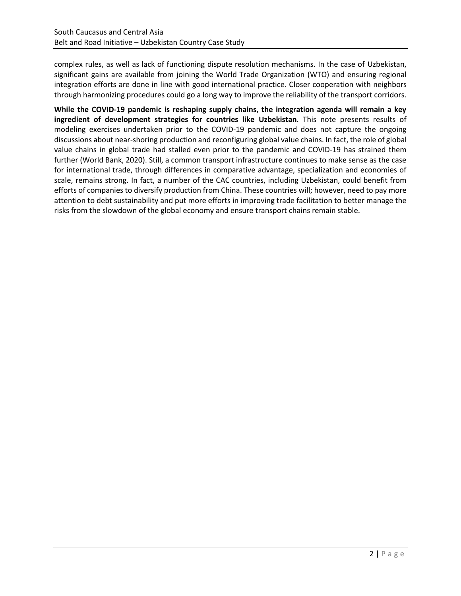complex rules, as well as lack of functioning dispute resolution mechanisms. In the case of Uzbekistan, significant gains are available from joining the World Trade Organization (WTO) and ensuring regional integration efforts are done in line with good international practice. Closer cooperation with neighbors through harmonizing procedures could go a long way to improve the reliability of the transport corridors.

**While the COVID-19 pandemic is reshaping supply chains, the integration agenda will remain a key ingredient of development strategies for countries like Uzbekistan**. This note presents results of modeling exercises undertaken prior to the COVID-19 pandemic and does not capture the ongoing discussions about near-shoring production and reconfiguring global value chains. In fact, the role of global value chains in global trade had stalled even prior to the pandemic and COVID-19 has strained them further (World Bank, 2020). Still, a common transport infrastructure continues to make sense as the case for international trade, through differences in comparative advantage, specialization and economies of scale, remains strong. In fact, a number of the CAC countries, including Uzbekistan, could benefit from efforts of companies to diversify production from China. These countries will; however, need to pay more attention to debt sustainability and put more efforts in improving trade facilitation to better manage the risks from the slowdown of the global economy and ensure transport chains remain stable.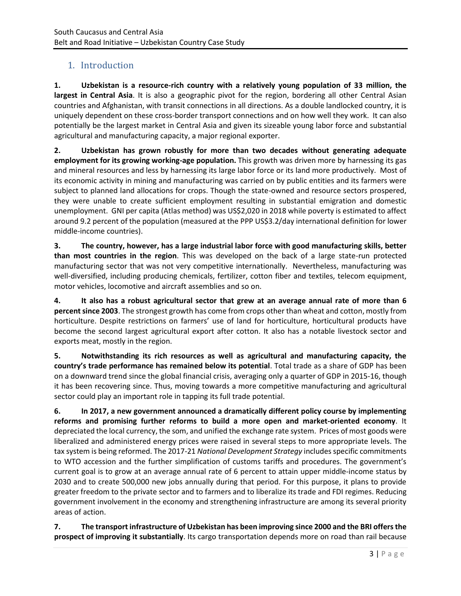# <span id="page-4-0"></span>1. Introduction

**1. Uzbekistan is a resource-rich country with a relatively young population of 33 million, the largest in Central Asia**. It is also a geographic pivot for the region, bordering all other Central Asian countries and Afghanistan, with transit connections in all directions. As a double landlocked country, it is uniquely dependent on these cross-border transport connections and on how well they work. It can also potentially be the largest market in Central Asia and given its sizeable young labor force and substantial agricultural and manufacturing capacity, a major regional exporter.

**2. Uzbekistan has grown robustly for more than two decades without generating adequate employment for its growing working-age population.** This growth was driven more by harnessing its gas and mineral resources and less by harnessing its large labor force or its land more productively. Most of its economic activity in mining and manufacturing was carried on by public entities and its farmers were subject to planned land allocations for crops. Though the state-owned and resource sectors prospered, they were unable to create sufficient employment resulting in substantial emigration and domestic unemployment. GNI per capita (Atlas method) was US\$2,020 in 2018 while poverty is estimated to affect around 9.2 percent of the population (measured at the PPP US\$3.2/day international definition for lower middle-income countries).

**3. The country, however, has a large industrial labor force with good manufacturing skills, better than most countries in the region**. This was developed on the back of a large state-run protected manufacturing sector that was not very competitive internationally. Nevertheless, manufacturing was well-diversified, including producing chemicals, fertilizer, cotton fiber and textiles, telecom equipment, motor vehicles, locomotive and aircraft assemblies and so on.

**4. It also has a robust agricultural sector that grew at an average annual rate of more than 6 percent since 2003**. The strongest growth has come from crops other than wheat and cotton, mostly from horticulture. Despite restrictions on farmers' use of land for horticulture, horticultural products have become the second largest agricultural export after cotton. It also has a notable livestock sector and exports meat, mostly in the region.

**5. Notwithstanding its rich resources as well as agricultural and manufacturing capacity, the country's trade performance has remained below its potential**. Total trade as a share of GDP has been on a downward trend since the global financial crisis, averaging only a quarter of GDP in 2015-16, though it has been recovering since. Thus, moving towards a more competitive manufacturing and agricultural sector could play an important role in tapping its full trade potential.

**6. In 2017, a new government announced a dramatically different policy course by implementing reforms and promising further reforms to build a more open and market-oriented economy**. It depreciated the local currency, the som, and unified the exchange rate system. Prices of most goods were liberalized and administered energy prices were raised in several steps to more appropriate levels. The tax system is being reformed. The 2017-21 *National Development Strategy* includes specific commitments to WTO accession and the further simplification of customs tariffs and procedures. The government's current goal is to grow at an average annual rate of 6 percent to attain upper middle-income status by 2030 and to create 500,000 new jobs annually during that period. For this purpose, it plans to provide greater freedom to the private sector and to farmers and to liberalize its trade and FDI regimes. Reducing government involvement in the economy and strengthening infrastructure are among its several priority areas of action.

**7. The transport infrastructure of Uzbekistan has been improving since 2000 and the BRI offers the prospect of improving it substantially**. Its cargo transportation depends more on road than rail because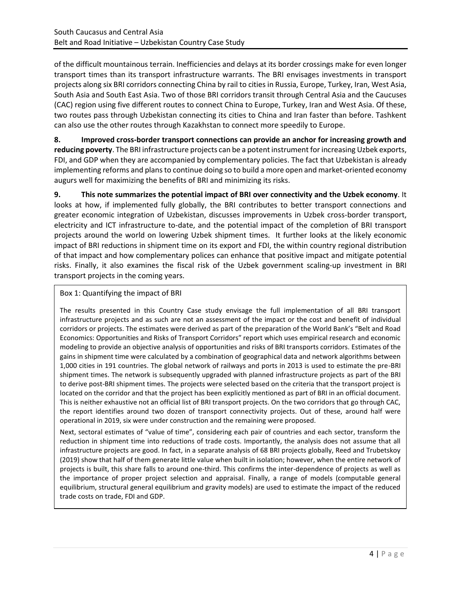of the difficult mountainous terrain. Inefficiencies and delays at its border crossings make for even longer transport times than its transport infrastructure warrants. The BRI envisages investments in transport projects along six BRI corridors connecting China by rail to cities in Russia, Europe, Turkey, Iran, West Asia, South Asia and South East Asia. Two of those BRI corridors transit through Central Asia and the Caucuses (CAC) region using five different routes to connect China to Europe, Turkey, Iran and West Asia. Of these, two routes pass through Uzbekistan connecting its cities to China and Iran faster than before. Tashkent can also use the other routes through Kazakhstan to connect more speedily to Europe.

**8. Improved cross-border transport connections can provide an anchor for increasing growth and reducing poverty**. The BRI infrastructure projects can be a potent instrument for increasing Uzbek exports, FDI, and GDP when they are accompanied by complementary policies. The fact that Uzbekistan is already implementing reforms and plans to continue doing so to build a more open and market-oriented economy augurs well for maximizing the benefits of BRI and minimizing its risks.

**9. This note summarizes the potential impact of BRI over connectivity and the Uzbek economy**. It looks at how, if implemented fully globally, the BRI contributes to better transport connections and greater economic integration of Uzbekistan, discusses improvements in Uzbek cross-border transport, electricity and ICT infrastructure to-date, and the potential impact of the completion of BRI transport projects around the world on lowering Uzbek shipment times. It further looks at the likely economic impact of BRI reductions in shipment time on its export and FDI, the within country regional distribution of that impact and how complementary polices can enhance that positive impact and mitigate potential risks. Finally, it also examines the fiscal risk of the Uzbek government scaling-up investment in BRI transport projects in the coming years.

### Box 1: Quantifying the impact of BRI

The results presented in this Country Case study envisage the full implementation of all BRI transport infrastructure projects and as such are not an assessment of the impact or the cost and benefit of individual corridors or projects. The estimates were derived as part of the preparation of the World Bank's "Belt and Road Economics: Opportunities and Risks of Transport Corridors" report which uses empirical research and economic modeling to provide an objective analysis of opportunities and risks of BRI transports corridors. Estimates of the gains in shipment time were calculated by a combination of geographical data and network algorithms between 1,000 cities in 191 countries. The global network of railways and ports in 2013 is used to estimate the pre-BRI shipment times. The network is subsequently upgraded with planned infrastructure projects as part of the BRI to derive post-BRI shipment times. The projects were selected based on the criteria that the transport project is located on the corridor and that the project has been explicitly mentioned as part of BRI in an official document. This is neither exhaustive not an official list of BRI transport projects. On the two corridors that go through CAC, the report identifies around two dozen of transport connectivity projects. Out of these, around half were operational in 2019, six were under construction and the remaining were proposed.

Next, sectoral estimates of "value of time", considering each pair of countries and each sector, transform the reduction in shipment time into reductions of trade costs. Importantly, the analysis does not assume that all infrastructure projects are good. In fact, in a separate analysis of 68 BRI projects globally, Reed and Trubetskoy (2019) show that half of them generate little value when built in isolation; however, when the entire network of projects is built, this share falls to around one-third. This confirms the inter-dependence of projects as well as the importance of proper project selection and appraisal. Finally, a range of models (computable general equilibrium, structural general equilibrium and gravity models) are used to estimate the impact of the reduced trade costs on trade, FDI and GDP.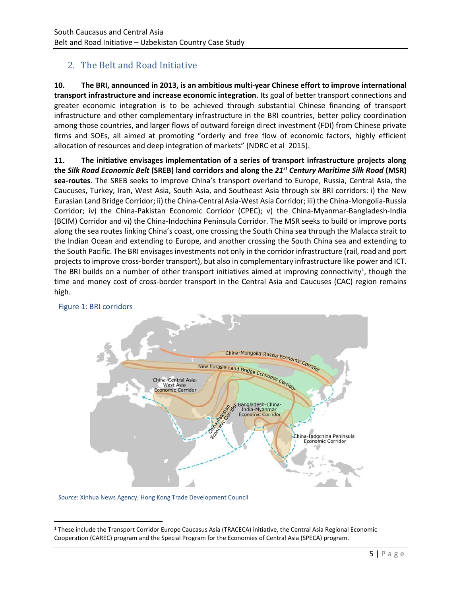# <span id="page-6-0"></span>2. The Belt and Road Initiative

**10. The BRI, announced in 2013, is an ambitious multi-year Chinese effort to improve international transport infrastructure and increase economic integration**. Its goal of better transport connections and greater economic integration is to be achieved through substantial Chinese financing of transport infrastructure and other complementary infrastructure in the BRI countries, better policy coordination among those countries, and larger flows of outward foreign direct investment (FDI) from Chinese private firms and SOEs, all aimed at promoting "orderly and free flow of economic factors, highly efficient allocation of resources and deep integration of markets" (NDRC et al 2015).

**11. The initiative envisages implementation of a series of transport infrastructure projects along the** *Silk Road Economic Belt* **(SREB) land corridors and along the** *21st Century Maritime Silk Road* **(MSR) sea-routes**. The SREB seeks to improve China's transport overland to Europe, Russia, Central Asia, the Caucuses, Turkey, Iran, West Asia, South Asia, and Southeast Asia through six BRI corridors: i) the New Eurasian Land Bridge Corridor; ii) the China-Central Asia-West Asia Corridor; iii) the China-Mongolia-Russia Corridor; iv) the China-Pakistan Economic Corridor (CPEC); v) the China-Myanmar-Bangladesh-India (BCIM) Corridor and vi) the China-Indochina Peninsula Corridor. The MSR seeks to build or improve ports along the sea routes linking China's coast, one crossing the South China sea through the Malacca strait to the Indian Ocean and extending to Europe, and another crossing the South China sea and extending to the South Pacific. The BRI envisages investments not only in the corridor infrastructure (rail, road and port projects to improve cross-border transport), but also in complementary infrastructure like power and ICT. The BRI builds on a number of other transport initiatives aimed at improving connectivity<sup>1</sup>, though the time and money cost of cross-border transport in the Central Asia and Caucuses (CAC) region remains high.



# Figure 1: BRI corridors

*Source*: Xinhua News Agency; Hong Kong Trade Development Council

<sup>1</sup> These include the Transport Corridor Europe Caucasus Asia (TRACECA) initiative, the Central Asia Regional Economic Cooperation (CAREC) program and the Special Program for the Economies of Central Asia (SPECA) program.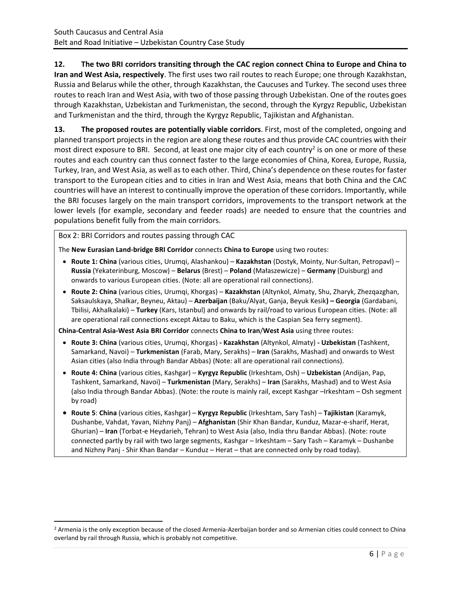**12. The two BRI corridors transiting through the CAC region connect China to Europe and China to Iran and West Asia, respectively**. The first uses two rail routes to reach Europe; one through Kazakhstan, Russia and Belarus while the other, through Kazakhstan, the Caucuses and Turkey. The second uses three routes to reach Iran and West Asia, with two of those passing through Uzbekistan. One of the routes goes through Kazakhstan, Uzbekistan and Turkmenistan, the second, through the Kyrgyz Republic, Uzbekistan and Turkmenistan and the third, through the Kyrgyz Republic, Tajikistan and Afghanistan.

**13. The proposed routes are potentially viable corridors**. First, most of the completed, ongoing and planned transport projects in the region are along these routes and thus provide CAC countries with their most direct exposure to BRI. Second, at least one major city of each country<sup>2</sup> is on one or more of these routes and each country can thus connect faster to the large economies of China, Korea, Europe, Russia, Turkey, Iran, and West Asia, as well as to each other. Third, China's dependence on these routes for faster transport to the European cities and to cities in Iran and West Asia, means that both China and the CAC countries will have an interest to continually improve the operation of these corridors. Importantly, while the BRI focuses largely on the main transport corridors, improvements to the transport network at the lower levels (for example, secondary and feeder roads) are needed to ensure that the countries and populations benefit fully from the main corridors.

Box 2: BRI Corridors and routes passing through CAC

The **New Eurasian Land-bridge BRI Corridor** connects **China to Europe** using two routes:

- **Route 1: China** (various cities, Urumqi, Alashankou) **Kazakhstan** (Dostyk, Mointy, Nur-Sultan, Petropavl) **Russia** (Yekaterinburg, Moscow) – **Belarus** (Brest) – **Poland** (Małaszewicze) – **Germany** (Duisburg) and onwards to various European cities. (Note: all are operational rail connections).
- **Route 2: China** (various cities, Urumqi, Khorgas) **Kazakhstan** (Altynkol, Almaty, Shu, Zharyk, Zhezqazghan, Saksaulskaya, Shalkar, Beyneu, Aktau) – **Azerbaijan** (Baku/Alyat, Ganja, Beyuk Kesik**) – Georgia** (Gardabani, Tbilisi, Akhalkalaki) – **Turkey** (Kars, Istanbul) and onwards by rail/road to various European cities. (Note: all are operational rail connections except Aktau to Baku, which is the Caspian Sea ferry segment).

**China-Central Asia-West Asia BRI Corridor** connects **China to Iran**/**West Asia** using three routes:

- **Route 3: China** (various cities, Urumqi, Khorgas) **- Kazakhstan** (Altynkol, Almaty) **- Uzbekistan** (Tashkent, Samarkand, Navoi) – **Turkmenistan** (Farab, Mary, Serakhs) – **Iran** (Sarakhs, Mashad) and onwards to West Asian cities (also India through Bandar Abbas) (Note: all are operational rail connections).
- **Route 4: China** (various cities, Kashgar) **Kyrgyz Republic** (Irkeshtam, Osh) **Uzbekistan** (Andijan, Pap, Tashkent, Samarkand, Navoi) – **Turkmenistan** (Mary, Serakhs) – **Iran** (Sarakhs, Mashad) and to West Asia (also India through Bandar Abbas). (Note: the route is mainly rail, except Kashgar –Irkeshtam – Osh segment by road)
- **Route 5**: **China** (various cities, Kashgar) **Kyrgyz Republic** (Irkeshtam, Sary Tash) **Tajikistan** (Karamyk, Dushanbe, Vahdat, Yavan, Nizhny Panj) – **Afghanistan** (Shir Khan Bandar, Kunduz, Mazar-e-sharif, Herat, Ghurian) – **Iran** (Torbat-e Heydarieh, Tehran) to West Asia (also, India thru Bandar Abbas). (Note: route connected partly by rail with two large segments, Kashgar – Irkeshtam – Sary Tash – Karamyk – Dushanbe and Nizhny Panj - Shir Khan Bandar – Kunduz – Herat – that are connected only by road today).

<sup>&</sup>lt;sup>2</sup> Armenia is the only exception because of the closed Armenia-Azerbaijan border and so Armenian cities could connect to China overland by rail through Russia, which is probably not competitive.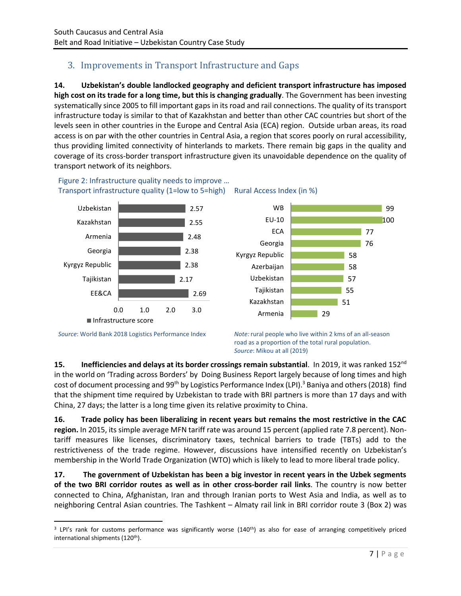# <span id="page-8-0"></span>3. Improvements in Transport Infrastructure and Gaps

**14. Uzbekistan's double landlocked geography and deficient transport infrastructure has imposed high cost on its trade for a long time, but this is changing gradually**. The Government has been investing systematically since 2005 to fill important gaps in its road and rail connections. The quality of its transport infrastructure today is similar to that of Kazakhstan and better than other CAC countries but short of the levels seen in other countries in the Europe and Central Asia (ECA) region. Outside urban areas, its road access is on par with the other countries in Central Asia, a region that scores poorly on rural accessibility, thus providing limited connectivity of hinterlands to markets. There remain big gaps in the quality and coverage of its cross-border transport infrastructure given its unavoidable dependence on the quality of transport network of its neighbors.



Figure 2: Infrastructure quality needs to improve … Transport infrastructure quality (1=low to 5=high) Rural Access Index (in %)



*Source*: World Bank 2018 Logistics Performance Index *Note:* rural people who live within 2 kms of an all-season road as a proportion of the total rural population. *Source*: Mikou at all (2019)

**15. Inefficiencies and delays at its border crossings remain substantial**. In 2019, it was ranked 152nd in the world on 'Trading across Borders' by Doing Business Report largely because of long times and high cost of document processing and 99<sup>th</sup> by Logistics Performance Index (LPI).<sup>3</sup> Baniya and others (2018) find that the shipment time required by Uzbekistan to trade with BRI partners is more than 17 days and with China, 27 days; the latter is a long time given its relative proximity to China.

**16. Trade policy has been liberalizing in recent years but remains the most restrictive in the CAC region.** In 2015, its simple average MFN tariff rate was around 15 percent (applied rate 7.8 percent). Nontariff measures like licenses, discriminatory taxes, technical barriers to trade (TBTs) add to the restrictiveness of the trade regime. However, discussions have intensified recently on Uzbekistan's membership in the World Trade Organization (WTO) which is likely to lead to more liberal trade policy.

**17. The government of Uzbekistan has been a big investor in recent years in the Uzbek segments of the two BRI corridor routes as well as in other cross-border rail links**. The country is now better connected to China, Afghanistan, Iran and through Iranian ports to West Asia and India, as well as to neighboring Central Asian countries. The Tashkent – Almaty rail link in BRI corridor route 3 (Box 2) was

<sup>&</sup>lt;sup>3</sup> LPI's rank for customs performance was significantly worse (140<sup>th</sup>) as also for ease of arranging competitively priced international shipments (120<sup>th</sup>).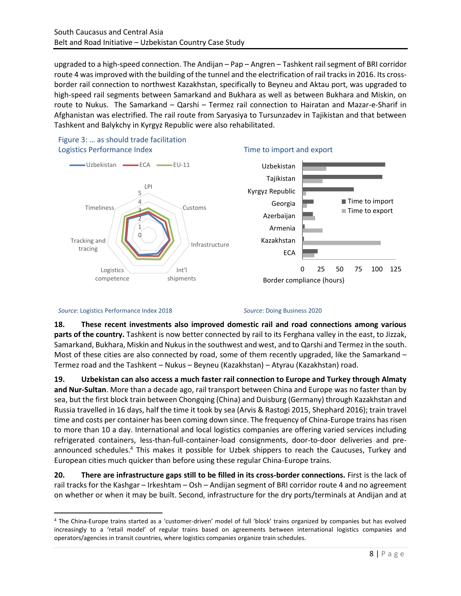upgraded to a high-speed connection. The Andijan – Pap – Angren – Tashkent rail segment of BRI corridor route 4 was improved with the building of the tunnel and the electrification of rail tracks in 2016. Its crossborder rail connection to northwest Kazakhstan, specifically to Beyneu and Aktau port, was upgraded to high-speed rail segments between Samarkand and Bukhara as well as between Bukhara and Miskin, on route to Nukus. The Samarkand – Qarshi – Termez rail connection to Hairatan and Mazar-e-Sharif in Afghanistan was electrified. The rail route from Saryasiya to Tursunzadev in Tajikistan and that between Tashkent and Balykchy in Kyrgyz Republic were also rehabilitated.







#### *Source*: Logistics Performance Index 2018 *Source*: Doing Business 2020

**18. These recent investments also improved domestic rail and road connections among various parts of the country.** Tashkent is now better connected by rail to its Ferghana valley in the east, to Jizzak, Samarkand, Bukhara, Miskin and Nukus in the southwest and west, and to Qarshi and Termez in the south. Most of these cities are also connected by road, some of them recently upgraded, like the Samarkand  $-$ Termez road and the Tashkent – Nukus – Beyneu (Kazakhstan) – Atyrau (Kazakhstan) road.

**19. Uzbekistan can also access a much faster rail connection to Europe and Turkey through Almaty and Nur-Sultan**. More than a decade ago, rail transport between China and Europe was no faster than by sea, but the first block train between Chongqing (China) and Duisburg (Germany) through Kazakhstan and Russia travelled in 16 days, half the time it took by sea (Arvis & Rastogi 2015, Shephard 2016); train travel time and costs per container has been coming down since. The frequency of China-Europe trains has risen to more than 10 a day. International and local logistics companies are offering varied services including refrigerated containers, less-than-full-container-load consignments, door-to-door deliveries and preannounced schedules. <sup>4</sup> This makes it possible for Uzbek shippers to reach the Caucuses, Turkey and European cities much quicker than before using these regular China-Europe trains.

**20. There are infrastructure gaps still to be filled in its cross-border connections.** First is the lack of rail tracks for the Kashgar – Irkeshtam – Osh – Andijan segment of BRI corridor route 4 and no agreement on whether or when it may be built. Second, infrastructure for the dry ports/terminals at Andijan and at

<sup>4</sup> The China-Europe trains started as a 'customer-driven' model of full 'block' trains organized by companies but has evolved increasingly to a 'retail model' of regular trains based on agreements between international logistics companies and operators/agencies in transit countries, where logistics companies organize train schedules.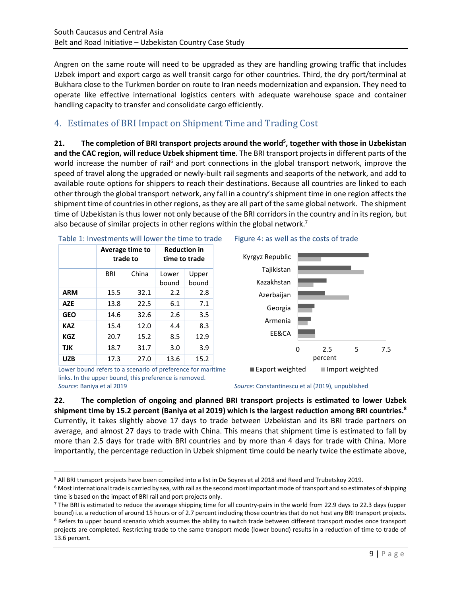Angren on the same route will need to be upgraded as they are handling growing traffic that includes Uzbek import and export cargo as well transit cargo for other countries. Third, the dry port/terminal at Bukhara close to the Turkmen border on route to Iran needs modernization and expansion. They need to operate like effective international logistics centers with adequate warehouse space and container handling capacity to transfer and consolidate cargo efficiently.

# <span id="page-10-0"></span>4. Estimates of BRI Impact on Shipment Time and Trading Cost

**21. The completion of BRI transport projects around the world<sup>5</sup> , together with those in Uzbekistan and the CAC region, will reduce Uzbek shipment time**. The BRI transport projects in different parts of the world increase the number of rail<sup>6</sup> and port connections in the global transport network, improve the speed of travel along the upgraded or newly-built rail segments and seaports of the network, and add to available route options for shippers to reach their destinations. Because all countries are linked to each other through the global transport network, any fall in a country's shipment time in one region affects the shipment time of countries in other regions, as they are all part of the same global network. The shipment time of Uzbekistan is thus lower not only because of the BRI corridors in the country and in its region, but also because of similar projects in other regions within the global network.<sup>7</sup>

|            |      | Average time to<br>trade to |                | <b>Reduction in</b><br>time to trade |
|------------|------|-----------------------------|----------------|--------------------------------------|
|            | BRI  | China                       | Lower<br>bound | Upper<br>bound                       |
| <b>ARM</b> | 15.5 | 32.1                        | 2.2            | 2.8                                  |
| <b>AZE</b> | 13.8 | 22.5                        | 6.1            | 7.1                                  |
| <b>GEO</b> | 14.6 | 32.6                        | 2.6            | 3.5                                  |
| <b>KAZ</b> | 15.4 | 12.0                        | 4.4            | 8.3                                  |
| KGZ        | 20.7 | 15.2                        | 8.5            | 12.9                                 |
| TJK        | 18.7 | 31.7                        | 3.0            | 3.9                                  |
| <b>UZB</b> | 17.3 | 27.0                        | 13.6           | 15.2                                 |

#### Table 1: Investments will lower the time to trade Figure 4: as well as the costs of trade



Lower bound refers to a scenario of preference for maritime links. In the upper bound, this preference is removed. *Source*: Baniya et al 2019 *Source*: Constantinescu et al (2019), unpublished

**22. The completion of ongoing and planned BRI transport projects is estimated to lower Uzbek shipment time by 15.2 percent (Baniya et al 2019) which is the largest reduction among BRI countries.<sup>8</sup>** Currently, it takes slightly above 17 days to trade between Uzbekistan and its BRI trade partners on average, and almost 27 days to trade with China. This means that shipment time is estimated to fall by more than 2.5 days for trade with BRI countries and by more than 4 days for trade with China. More importantly, the percentage reduction in Uzbek shipment time could be nearly twice the estimate above,

<sup>5</sup> All BRI transport projects have been compiled into a list in De Soyres et al 2018 and Reed and Trubetskoy 2019.

 $6$  Most international trade is carried by sea, with rail as the second most important mode of transport and so estimates of shipping time is based on the impact of BRI rail and port projects only.

<sup>7</sup> The BRI is estimated to reduce the average shipping time for all country-pairs in the world from 22.9 days to 22.3 days (upper bound) i.e. a reduction of around 15 hours or of 2.7 percent including those countries that do not host any BRI transport projects. 8 Refers to upper bound scenario which assumes the ability to switch trade between different transport modes once transport projects are completed. Restricting trade to the same transport mode (lower bound) results in a reduction of time to trade of 13.6 percent.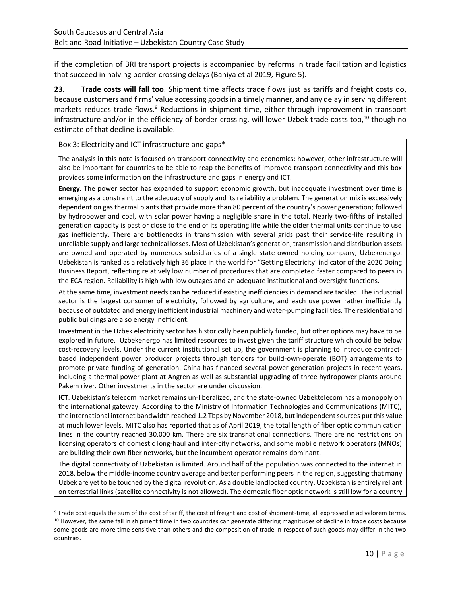if the completion of BRI transport projects is accompanied by reforms in trade facilitation and logistics that succeed in halving border-crossing delays (Baniya et al 2019, Figure 5).

**23. Trade costs will fall too**. Shipment time affects trade flows just as tariffs and freight costs do, because customers and firms' value accessing goods in a timely manner, and any delay in serving different markets reduces trade flows.<sup>9</sup> Reductions in shipment time, either through improvement in transport infrastructure and/or in the efficiency of border-crossing, will lower Uzbek trade costs too, <sup>10</sup> though no estimate of that decline is available.

### Box 3: Electricity and ICT infrastructure and gaps\*

The analysis in this note is focused on transport connectivity and economics; however, other infrastructure will also be important for countries to be able to reap the benefits of improved transport connectivity and this box provides some information on the infrastructure and gaps in energy and ICT.

**Energy.** The power sector has expanded to support economic growth, but inadequate investment over time is emerging as a constraint to the adequacy of supply and its reliability a problem. The generation mix is excessively dependent on gas thermal plants that provide more than 80 percent of the country's power generation; followed by hydropower and coal, with solar power having a negligible share in the total. Nearly two-fifths of installed generation capacity is past or close to the end of its operating life while the older thermal units continue to use gas inefficiently. There are bottlenecks in transmission with several grids past their service-life resulting in unreliable supply and large technical losses. Most of Uzbekistan's generation, transmission and distribution assets are owned and operated by numerous subsidiaries of a single state-owned holding company, Uzbekenergo. Uzbekistan is ranked as a relatively high 36 place in the world for "Getting Electricity' indicator of the 2020 Doing Business Report, reflecting relatively low number of procedures that are completed faster compared to peers in the ECA region. Reliability is high with low outages and an adequate institutional and oversight functions.

At the same time, investment needs can be reduced if existing inefficiencies in demand are tackled. The industrial sector is the largest consumer of electricity, followed by agriculture, and each use power rather inefficiently because of outdated and energy inefficient industrial machinery and water-pumping facilities. The residential and public buildings are also energy inefficient.

Investment in the Uzbek electricity sector has historically been publicly funded, but other options may have to be explored in future. Uzbekenergo has limited resources to invest given the tariff structure which could be below cost-recovery levels. Under the current institutional set up, the government is planning to introduce contractbased independent power producer projects through tenders for build-own-operate (BOT) arrangements to promote private funding of generation. China has financed several power generation projects in recent years, including a thermal power plant at Angren as well as substantial upgrading of three hydropower plants around Pakem river. Other investments in the sector are under discussion.

**ICT**. Uzbekistan's telecom market remains un-liberalized, and the state-owned Uzbektelecom has a monopoly on the international gateway. According to the Ministry of Information Technologies and Communications (MITC), the international internet bandwidth reached 1.2 Tbps by November 2018, but independent sources put this value at much lower levels. MITC also has reported that as of April 2019, the total length of fiber optic communication lines in the country reached 30,000 km. There are six transnational connections. There are no restrictions on licensing operators of domestic long-haul and inter-city networks, and some mobile network operators (MNOs) are building their own fiber networks, but the incumbent operator remains dominant.

The digital connectivity of Uzbekistan is limited. Around half of the population was connected to the internet in 2018, below the middle-income country average and better performing peers in the region, suggesting that many Uzbek are yet to be touched by the digital revolution. As a double landlocked country, Uzbekistan is entirely reliant on terrestrial links (satellite connectivity is not allowed). The domestic fiber optic network is still low for a country

<sup>9</sup> Trade cost equals the sum of the cost of tariff, the cost of freight and cost of shipment-time, all expressed in ad valorem terms. <sup>10</sup> However, the same fall in shipment time in two countries can generate differing magnitudes of decline in trade costs because some goods are more time-sensitive than others and the composition of trade in respect of such goods may differ in the two countries.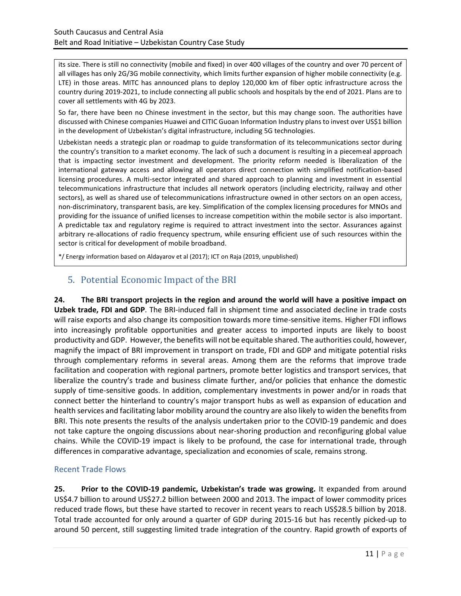its size. There is still no connectivity (mobile and fixed) in over 400 villages of the country and over 70 percent of all villages has only 2G/3G mobile connectivity, which limits further expansion of higher mobile connectivity (e.g. LTE) in those areas. MITC has announced plans to deploy 120,000 km of fiber optic infrastructure across the country during 2019-2021, to include connecting all public schools and hospitals by the end of 2021. Plans are to cover all settlements with 4G by 2023.

So far, there have been no Chinese investment in the sector, but this may change soon. The authorities have discussed with Chinese companies Huawei and CITIC Guoan Information Industry plans to invest over US\$1 billion in the development of Uzbekistan's digital infrastructure, including 5G technologies.

Uzbekistan needs a strategic plan or roadmap to guide transformation of its telecommunications sector during the country's transition to a market economy. The lack of such a document is resulting in a piecemeal approach that is impacting sector investment and development. The priority reform needed is liberalization of the international gateway access and allowing all operators direct connection with simplified notification-based licensing procedures. A multi-sector integrated and shared approach to planning and investment in essential telecommunications infrastructure that includes all network operators (including electricity, railway and other sectors), as well as shared use of telecommunications infrastructure owned in other sectors on an open access, non-discriminatory, transparent basis, are key. Simplification of the complex licensing procedures for MNOs and providing for the issuance of unified licenses to increase competition within the mobile sector is also important. A predictable tax and regulatory regime is required to attract investment into the sector. Assurances against arbitrary re-allocations of radio frequency spectrum, while ensuring efficient use of such resources within the sector is critical for development of mobile broadband.

<span id="page-12-0"></span>\*/ Energy information based on Aldayarov et al (2017); ICT on Raja (2019, unpublished)

# 5. Potential Economic Impact of the BRI

**24. The BRI transport projects in the region and around the world will have a positive impact on Uzbek trade, FDI and GDP**. The BRI-induced fall in shipment time and associated decline in trade costs will raise exports and also change its composition towards more time-sensitive items. Higher FDI inflows into increasingly profitable opportunities and greater access to imported inputs are likely to boost productivity and GDP. However, the benefits will not be equitable shared. The authorities could, however, magnify the impact of BRI improvement in transport on trade, FDI and GDP and mitigate potential risks through complementary reforms in several areas. Among them are the reforms that improve trade facilitation and cooperation with regional partners, promote better logistics and transport services, that liberalize the country's trade and business climate further, and/or policies that enhance the domestic supply of time-sensitive goods. In addition, complementary investments in power and/or in roads that connect better the hinterland to country's major transport hubs as well as expansion of education and health services and facilitating labor mobility around the country are also likely to widen the benefits from BRI. This note presents the results of the analysis undertaken prior to the COVID-19 pandemic and does not take capture the ongoing discussions about near-shoring production and reconfiguring global value chains. While the COVID-19 impact is likely to be profound, the case for international trade, through differences in comparative advantage, specialization and economies of scale, remains strong.

# Recent Trade Flows

**25. Prior to the COVID-19 pandemic, Uzbekistan's trade was growing.** It expanded from around US\$4.7 billion to around US\$27.2 billion between 2000 and 2013. The impact of lower commodity prices reduced trade flows, but these have started to recover in recent years to reach US\$28.5 billion by 2018. Total trade accounted for only around a quarter of GDP during 2015-16 but has recently picked-up to around 50 percent, still suggesting limited trade integration of the country. Rapid growth of exports of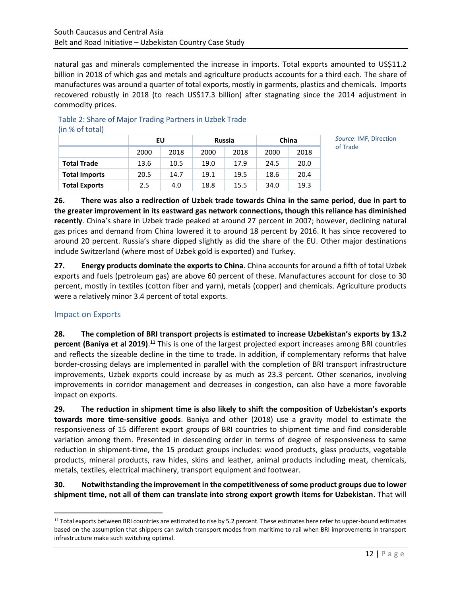natural gas and minerals complemented the increase in imports. Total exports amounted to US\$11.2 billion in 2018 of which gas and metals and agriculture products accounts for a third each. The share of manufactures was around a quarter of total exports, mostly in garments, plastics and chemicals. Imports recovered robustly in 2018 (to reach US\$17.3 billion) after stagnating since the 2014 adjustment in commodity prices.

| ,                    |      |      |               |      |       |      |
|----------------------|------|------|---------------|------|-------|------|
|                      | EU   |      | <b>Russia</b> |      | China |      |
|                      | 2000 | 2018 | 2000          | 2018 | 2000  | 2018 |
| <b>Total Trade</b>   | 13.6 | 10.5 | 19.0          | 17.9 | 24.5  | 20.0 |
| <b>Total Imports</b> | 20.5 | 14.7 | 19.1          | 19.5 | 18.6  | 20.4 |
| <b>Total Exports</b> | 2.5  | 4.0  | 18.8          | 15.5 | 34.0  | 19.3 |

Table 2: Share of Major Trading Partners in Uzbek Trade (in % of total)

> *Source*: IMF, Direction of Trade

**26. There was also a redirection of Uzbek trade towards China in the same period, due in part to the greater improvement in its eastward gas network connections, though this reliance has diminished recently**. China's share in Uzbek trade peaked at around 27 percent in 2007; however, declining natural gas prices and demand from China lowered it to around 18 percent by 2016. It has since recovered to around 20 percent. Russia's share dipped slightly as did the share of the EU. Other major destinations include Switzerland (where most of Uzbek gold is exported) and Turkey.

**27. Energy products dominate the exports to China**. China accounts for around a fifth of total Uzbek exports and fuels (petroleum gas) are above 60 percent of these. Manufactures account for close to 30 percent, mostly in textiles (cotton fiber and yarn), metals (copper) and chemicals. Agriculture products were a relatively minor 3.4 percent of total exports.

# Impact on Exports

**28. The completion of BRI transport projects is estimated to increase Uzbekistan's exports by 13.2 percent (Baniya et al 2019)**. **<sup>11</sup>** This is one of the largest projected export increases among BRI countries and reflects the sizeable decline in the time to trade. In addition, if complementary reforms that halve border-crossing delays are implemented in parallel with the completion of BRI transport infrastructure improvements, Uzbek exports could increase by as much as 23.3 percent. Other scenarios, involving improvements in corridor management and decreases in congestion, can also have a more favorable impact on exports.

**29. The reduction in shipment time is also likely to shift the composition of Uzbekistan's exports towards more time-sensitive goods**. Baniya and other (2018) use a gravity model to estimate the responsiveness of 15 different export groups of BRI countries to shipment time and find considerable variation among them. Presented in descending order in terms of degree of responsiveness to same reduction in shipment-time, the 15 product groups includes: wood products, glass products, vegetable products, mineral products, raw hides, skins and leather, animal products including meat, chemicals, metals, textiles, electrical machinery, transport equipment and footwear.

# **30. Notwithstanding the improvement in the competitiveness of some product groups due to lower shipment time, not all of them can translate into strong export growth items for Uzbekistan**. That will

<sup>11</sup> Total exports between BRI countries are estimated to rise by 5.2 percent. These estimates here refer to upper-bound estimates based on the assumption that shippers can switch transport modes from maritime to rail when BRI improvements in transport infrastructure make such switching optimal.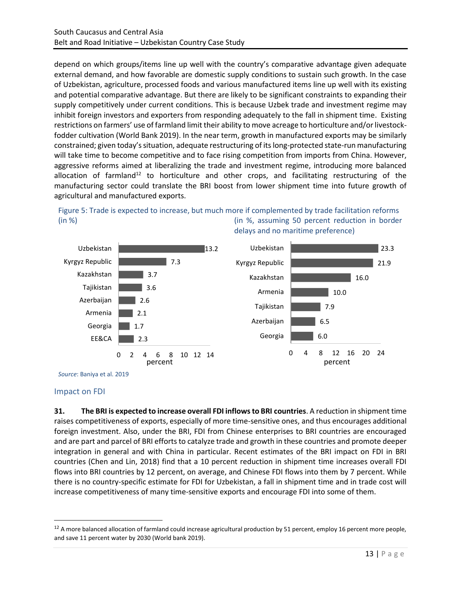depend on which groups/items line up well with the country's comparative advantage given adequate external demand, and how favorable are domestic supply conditions to sustain such growth. In the case of Uzbekistan, agriculture, processed foods and various manufactured items line up well with its existing and potential comparative advantage. But there are likely to be significant constraints to expanding their supply competitively under current conditions. This is because Uzbek trade and investment regime may inhibit foreign investors and exporters from responding adequately to the fall in shipment time. Existing restrictions on farmers' use of farmland limit their ability to move acreage to horticulture and/or livestockfodder cultivation (World Bank 2019). In the near term, growth in manufactured exports may be similarly constrained; given today's situation, adequate restructuring of its long-protected state-run manufacturing will take time to become competitive and to face rising competition from imports from China. However, aggressive reforms aimed at liberalizing the trade and investment regime, introducing more balanced allocation of farmland<sup>12</sup> to horticulture and other crops, and facilitating restructuring of the manufacturing sector could translate the BRI boost from lower shipment time into future growth of agricultural and manufactured exports.





*Source*: Baniya et al. 2019

#### Impact on FDI

**31. The BRI is expected to increase overall FDI inflows to BRI countries**. A reduction in shipment time raises competitiveness of exports, especially of more time-sensitive ones, and thus encourages additional foreign investment. Also, under the BRI, FDI from Chinese enterprises to BRI countries are encouraged and are part and parcel of BRI efforts to catalyze trade and growth in these countries and promote deeper integration in general and with China in particular. Recent estimates of the BRI impact on FDI in BRI countries (Chen and Lin, 2018) find that a 10 percent reduction in shipment time increases overall FDI flows into BRI countries by 12 percent, on average, and Chinese FDI flows into them by 7 percent. While there is no country-specific estimate for FDI for Uzbekistan, a fall in shipment time and in trade cost will increase competitiveness of many time-sensitive exports and encourage FDI into some of them.

<sup>&</sup>lt;sup>12</sup> A more balanced allocation of farmland could increase agricultural production by 51 percent, employ 16 percent more people, and save 11 percent water by 2030 (World bank 2019).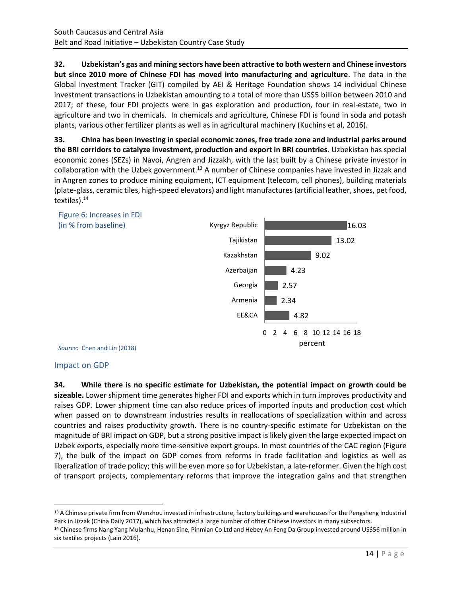**32. Uzbekistan's gas and mining sectors have been attractive to both western and Chinese investors but since 2010 more of Chinese FDI has moved into manufacturing and agriculture**. The data in the Global Investment Tracker (GIT) compiled by AEI & Heritage Foundation shows 14 individual Chinese investment transactions in Uzbekistan amounting to a total of more than US\$5 billion between 2010 and 2017; of these, four FDI projects were in gas exploration and production, four in real-estate, two in agriculture and two in chemicals. In chemicals and agriculture, Chinese FDI is found in soda and potash plants, various other fertilizer plants as well as in agricultural machinery (Kuchins et al, 2016).

**33. China has been investing in special economic zones, free trade zone and industrial parks around the BRI corridors to catalyze investment, production and export in BRI countries**. Uzbekistan has special economic zones (SEZs) in Navoi, Angren and Jizzakh, with the last built by a Chinese private investor in collaboration with the Uzbek government.<sup>13</sup> A number of Chinese companies have invested in Jizzak and in Angren zones to produce mining equipment, ICT equipment (telecom, cell phones), building materials (plate-glass, ceramic tiles, high-speed elevators) and light manufactures (artificial leather, shoes, pet food, textiles).<sup>14</sup>



### Impact on GDP

**34. While there is no specific estimate for Uzbekistan, the potential impact on growth could be sizeable.** Lower shipment time generates higher FDI and exports which in turn improves productivity and raises GDP. Lower shipment time can also reduce prices of imported inputs and production cost which when passed on to downstream industries results in reallocations of specialization within and across countries and raises productivity growth. There is no country-specific estimate for Uzbekistan on the magnitude of BRI impact on GDP, but a strong positive impact is likely given the large expected impact on Uzbek exports, especially more time-sensitive export groups. In most countries of the CAC region (Figure 7), the bulk of the impact on GDP comes from reforms in trade facilitation and logistics as well as liberalization of trade policy; this will be even more so for Uzbekistan, a late-reformer. Given the high cost of transport projects, complementary reforms that improve the integration gains and that strengthen

<sup>&</sup>lt;sup>13</sup> A Chinese private firm from Wenzhou invested in infrastructure, factory buildings and warehouses for the Pengsheng Industrial Park in Jizzak (China Daily 2017), which has attracted a large number of other Chinese investors in many subsectors.

<sup>&</sup>lt;sup>14</sup> Chinese firms Nang Yang Mulanhu, Henan Sine, Pinmian Co Ltd and Hebey An Feng Da Group invested around US\$56 million in six textiles projects (Lain 2016).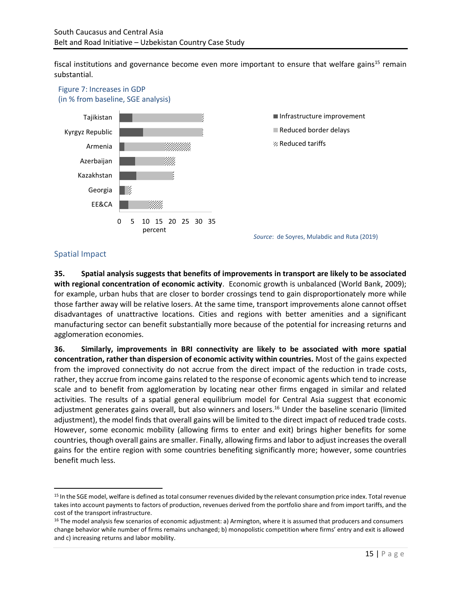fiscal institutions and governance become even more important to ensure that welfare gains<sup>15</sup> remain substantial.



# Spatial Impact

**35. Spatial analysis suggests that benefits of improvements in transport are likely to be associated with regional concentration of economic activity**. Economic growth is unbalanced (World Bank, 2009); for example, urban hubs that are closer to border crossings tend to gain disproportionately more while those farther away will be relative losers. At the same time, transport improvements alone cannot offset disadvantages of unattractive locations. Cities and regions with better amenities and a significant manufacturing sector can benefit substantially more because of the potential for increasing returns and agglomeration economies.

**36. Similarly, improvements in BRI connectivity are likely to be associated with more spatial concentration, rather than dispersion of economic activity within countries.** Most of the gains expected from the improved connectivity do not accrue from the direct impact of the reduction in trade costs, rather, they accrue from income gains related to the response of economic agents which tend to increase scale and to benefit from agglomeration by locating near other firms engaged in similar and related activities. The results of a spatial general equilibrium model for Central Asia suggest that economic adjustment generates gains overall, but also winners and losers.<sup>16</sup> Under the baseline scenario (limited adjustment), the model finds that overall gains will be limited to the direct impact of reduced trade costs. However, some economic mobility (allowing firms to enter and exit) brings higher benefits for some countries, though overall gains are smaller. Finally, allowing firms and labor to adjust increases the overall gains for the entire region with some countries benefiting significantly more; however, some countries benefit much less.

<sup>15</sup> In the SGE model, welfare is defined as total consumer revenues divided by the relevant consumption price index. Total revenue takes into account payments to factors of production, revenues derived from the portfolio share and from import tariffs, and the cost of the transport infrastructure.

<sup>16</sup> The model analysis few scenarios of economic adjustment: a) Armington, where it is assumed that producers and consumers change behavior while number of firms remains unchanged; b) monopolistic competition where firms' entry and exit is allowed and c) increasing returns and labor mobility.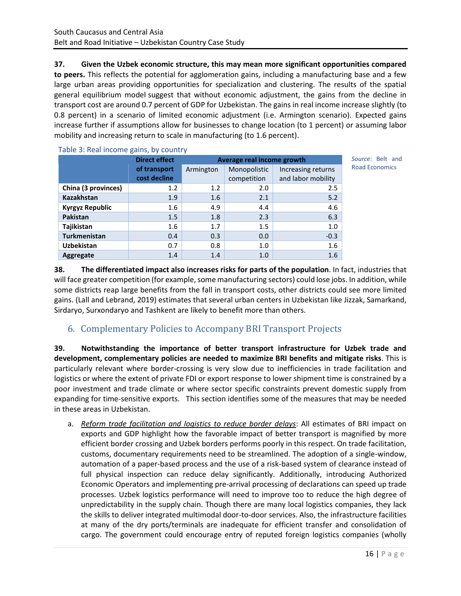**37. Given the Uzbek economic structure, this may mean more significant opportunities compared to peers.** This reflects the potential for agglomeration gains, including a manufacturing base and a few large urban areas providing opportunities for specialization and clustering. The results of the spatial general equilibrium model suggest that without economic adjustment, the gains from the decline in transport cost are around 0.7 percent of GDP for Uzbekistan. The gains in real income increase slightly (to 0.8 percent) in a scenario of limited economic adjustment (i.e. Armington scenario). Expected gains increase further if assumptions allow for businesses to change location (to 1 percent) or assuming labor mobility and increasing return to scale in manufacturing (to 1.6 percent).

| Table 3: Real income gains, by country |                      |                            |              |                    |  |
|----------------------------------------|----------------------|----------------------------|--------------|--------------------|--|
|                                        | <b>Direct effect</b> | Average real income growth |              |                    |  |
|                                        | of transport         | Armington                  | Monopolistic | Increasing returns |  |
|                                        | cost decline         |                            | competition  | and labor mobility |  |
| China (3 provinces)                    | 1.2                  | 1.2                        | 2.0          | 2.5                |  |
| <b>Kazakhstan</b>                      | 1.9                  | 1.6                        | 2.1          | 5.2                |  |
| Kyrgyz Republic                        | 1.6                  | 4.9                        | 4.4          | 4.6                |  |
| Pakistan                               | 1.5                  | 1.8                        | 2.3          | 6.3                |  |
| Tajikistan                             | 1.6                  | 1.7                        | 1.5          | 1.0                |  |
| <b>Turkmenistan</b>                    | 0.4                  | 0.3                        | 0.0          | $-0.3$             |  |
| <b>Uzbekistan</b>                      | 0.7                  | 0.8                        | 1.0          | 1.6                |  |
| <b>Aggregate</b>                       | 1.4                  | 1.4                        | 1.0          | 1.6                |  |

*Source*: Belt and Road Economics

**38. The differentiated impact also increases risks for parts of the population**. In fact, industries that will face greater competition (for example, some manufacturing sectors) could lose jobs. In addition, while some districts reap large benefits from the fall in transport costs, other districts could see more limited gains. (Lall and Lebrand, 2019) estimates that several urban centers in Uzbekistan like Jizzak, Samarkand, Sirdaryo, Surxondaryo and Tashkent are likely to benefit more than others.

# <span id="page-17-0"></span>6. Complementary Policies to Accompany BRI Transport Projects

**39. Notwithstanding the importance of better transport infrastructure for Uzbek trade and development, complementary policies are needed to maximize BRI benefits and mitigate risks**. This is particularly relevant where border-crossing is very slow due to inefficiencies in trade facilitation and logistics or where the extent of private FDI or export response to lower shipment time is constrained by a poor investment and trade climate or where sector specific constraints prevent domestic supply from expanding for time-sensitive exports. This section identifies some of the measures that may be needed in these areas in Uzbekistan.

a. *Reform trade facilitation and logistics to reduce border delays*: All estimates of BRI impact on exports and GDP highlight how the favorable impact of better transport is magnified by more efficient border crossing and Uzbek borders performs poorly in this respect. On trade facilitation, customs, documentary requirements need to be streamlined. The adoption of a single-window, automation of a paper-based process and the use of a risk-based system of clearance instead of full physical inspection can reduce delay significantly. Additionally, introducing Authorized Economic Operators and implementing pre-arrival processing of declarations can speed up trade processes. Uzbek logistics performance will need to improve too to reduce the high degree of unpredictability in the supply chain. Though there are many local logistics companies, they lack the skills to deliver integrated multimodal door-to-door services. Also, the infrastructure facilities at many of the dry ports/terminals are inadequate for efficient transfer and consolidation of cargo. The government could encourage entry of reputed foreign logistics companies (wholly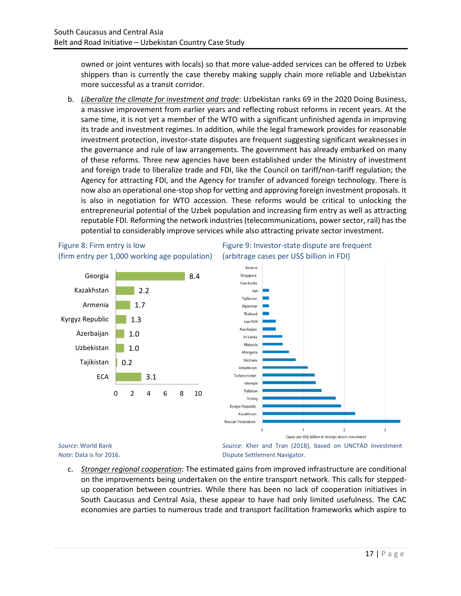owned or joint ventures with locals) so that more value-added services can be offered to Uzbek shippers than is currently the case thereby making supply chain more reliable and Uzbekistan more successful as a transit corridor.

b. *Liberalize the climate for investment and trade*: Uzbekistan ranks 69 in the 2020 Doing Business, a massive improvement from earlier years and reflecting robust reforms in recent years. At the same time, it is not yet a member of the WTO with a significant unfinished agenda in improving its trade and investment regimes. In addition, while the legal framework provides for reasonable investment protection, investor-state disputes are frequent suggesting significant weaknesses in the governance and rule of law arrangements. The government has already embarked on many of these reforms. Three new agencies have been established under the Ministry of investment and foreign trade to liberalize trade and FDI, like the Council on tariff/non-tariff regulation; the Agency for attracting FDI, and the Agency for transfer of advanced foreign technology. There is now also an operational one-stop shop for vetting and approving foreign investment proposals. It is also in negotiation for WTO accession. These reforms would be critical to unlocking the entrepreneurial potential of the Uzbek population and increasing firm entry as well as attracting reputable FDI. Reforming the network industries (telecommunications, power sector, rail) has the potential to considerably improve services while also attracting private sector investment.



## Figure 8: Firm entry is low Figure 9: Investor-state dispute are frequent (firm entry per 1,000 working age population) (arbitrage cases per US\$ billion in FDI)

*Note*: Data is for 2016.

Dispute Settlement Navigator.

c. *Stronger regional cooperation*: The estimated gains from improved infrastructure are conditional on the improvements being undertaken on the entire transport network. This calls for steppedup cooperation between countries. While there has been no lack of cooperation initiatives in South Caucasus and Central Asia, these appear to have had only limited usefulness. The CAC economies are parties to numerous trade and transport facilitation frameworks which aspire to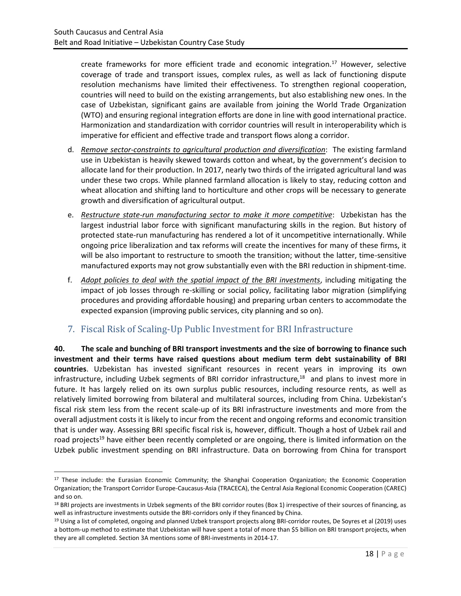create frameworks for more efficient trade and economic integration.<sup>17</sup> However, selective coverage of trade and transport issues, complex rules, as well as lack of functioning dispute resolution mechanisms have limited their effectiveness. To strengthen regional cooperation, countries will need to build on the existing arrangements, but also establishing new ones. In the case of Uzbekistan, significant gains are available from joining the World Trade Organization (WTO) and ensuring regional integration efforts are done in line with good international practice. Harmonization and standardization with corridor countries will result in interoperability which is imperative for efficient and effective trade and transport flows along a corridor.

- d. *Remove sector-constraints to agricultural production and diversification*: The existing farmland use in Uzbekistan is heavily skewed towards cotton and wheat, by the government's decision to allocate land for their production. In 2017, nearly two thirds of the irrigated agricultural land was under these two crops. While planned farmland allocation is likely to stay, reducing cotton and wheat allocation and shifting land to horticulture and other crops will be necessary to generate growth and diversification of agricultural output.
- e. *Restructure state-run manufacturing sector to make it more competitive*: Uzbekistan has the largest industrial labor force with significant manufacturing skills in the region. But history of protected state-run manufacturing has rendered a lot of it uncompetitive internationally. While ongoing price liberalization and tax reforms will create the incentives for many of these firms, it will be also important to restructure to smooth the transition; without the latter, time-sensitive manufactured exports may not grow substantially even with the BRI reduction in shipment-time.
- f. *Adopt policies to deal with the spatial impact of the BRI investments*, including mitigating the impact of job losses through re-skilling or social policy, facilitating labor migration (simplifying procedures and providing affordable housing) and preparing urban centers to accommodate the expected expansion (improving public services, city planning and so on).

# <span id="page-19-0"></span>7. Fiscal Risk of Scaling-Up Public Investment for BRI Infrastructure

**40. The scale and bunching of BRI transport investments and the size of borrowing to finance such investment and their terms have raised questions about medium term debt sustainability of BRI countries**. Uzbekistan has invested significant resources in recent years in improving its own infrastructure, including Uzbek segments of BRI corridor infrastructure,<sup>18</sup> and plans to invest more in future. It has largely relied on its own surplus public resources, including resource rents, as well as relatively limited borrowing from bilateral and multilateral sources, including from China. Uzbekistan's fiscal risk stem less from the recent scale-up of its BRI infrastructure investments and more from the overall adjustment costs it is likely to incur from the recent and ongoing reforms and economic transition that is under way. Assessing BRI specific fiscal risk is, however, difficult. Though a host of Uzbek rail and road projects<sup>19</sup> have either been recently completed or are ongoing, there is limited information on the Uzbek public investment spending on BRI infrastructure. Data on borrowing from China for transport

<sup>&</sup>lt;sup>17</sup> These include: the Eurasian Economic Community; the Shanghai Cooperation Organization; the Economic Cooperation Organization; the Transport Corridor Europe-Caucasus-Asia (TRACECA), the Central Asia Regional Economic Cooperation (CAREC) and so on.

 $18$  BRI projects are investments in Uzbek segments of the BRI corridor routes (Box 1) irrespective of their sources of financing, as well as infrastructure investments outside the BRI-corridors only if they financed by China.

<sup>19</sup> Using a list of completed, ongoing and planned Uzbek transport projects along BRI-corridor routes, De Soyres et al (2019) uses a bottom-up method to estimate that Uzbekistan will have spent a total of more than \$5 billion on BRI transport projects, when they are all completed. Section 3A mentions some of BRI-investments in 2014-17.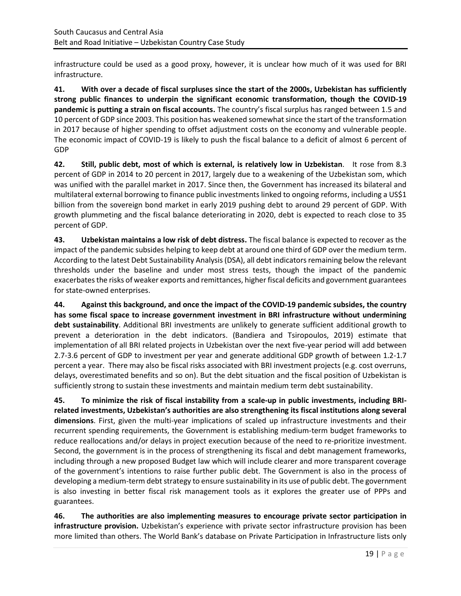infrastructure could be used as a good proxy, however, it is unclear how much of it was used for BRI infrastructure.

**41. With over a decade of fiscal surpluses since the start of the 2000s, Uzbekistan has sufficiently strong public finances to underpin the significant economic transformation, though the COVID-19 pandemic is putting a strain on fiscal accounts.** The country's fiscal surplus has ranged between 1.5 and 10 percent of GDP since 2003. This position has weakened somewhat since the start of the transformation in 2017 because of higher spending to offset adjustment costs on the economy and vulnerable people. The economic impact of COVID-19 is likely to push the fiscal balance to a deficit of almost 6 percent of GDP

**42. Still, public debt, most of which is external, is relatively low in Uzbekistan**. It rose from 8.3 percent of GDP in 2014 to 20 percent in 2017, largely due to a weakening of the Uzbekistan som, which was unified with the parallel market in 2017. Since then, the Government has increased its bilateral and multilateral external borrowing to finance public investments linked to ongoing reforms, including a US\$1 billion from the sovereign bond market in early 2019 pushing debt to around 29 percent of GDP. With growth plummeting and the fiscal balance deteriorating in 2020, debt is expected to reach close to 35 percent of GDP.

**43. Uzbekistan maintains a low risk of debt distress.** The fiscal balance is expected to recover as the impact of the pandemic subsides helping to keep debt at around one third of GDP over the medium term. According to the latest Debt Sustainability Analysis (DSA), all debt indicators remaining below the relevant thresholds under the baseline and under most stress tests, though the impact of the pandemic exacerbates the risks of weaker exports and remittances, higher fiscal deficits and government guarantees for state-owned enterprises.

**44. Against this background, and once the impact of the COVID-19 pandemic subsides, the country has some fiscal space to increase government investment in BRI infrastructure without undermining debt sustainability**. Additional BRI investments are unlikely to generate sufficient additional growth to prevent a deterioration in the debt indicators. (Bandiera and Tsiropoulos, 2019) estimate that implementation of all BRI related projects in Uzbekistan over the next five-year period will add between 2.7-3.6 percent of GDP to investment per year and generate additional GDP growth of between 1.2-1.7 percent a year. There may also be fiscal risks associated with BRI investment projects (e.g. cost overruns, delays, overestimated benefits and so on). But the debt situation and the fiscal position of Uzbekistan is sufficiently strong to sustain these investments and maintain medium term debt sustainability.

**45. To minimize the risk of fiscal instability from a scale-up in public investments, including BRIrelated investments, Uzbekistan's authorities are also strengthening its fiscal institutions along several dimensions**. First, given the multi-year implications of scaled up infrastructure investments and their recurrent spending requirements, the Government is establishing medium-term budget frameworks to reduce reallocations and/or delays in project execution because of the need to re-prioritize investment. Second, the government is in the process of strengthening its fiscal and debt management frameworks, including through a new proposed Budget law which will include clearer and more transparent coverage of the government's intentions to raise further public debt. The Government is also in the process of developing a medium-term debt strategy to ensure sustainability in its use of public debt. The government is also investing in better fiscal risk management tools as it explores the greater use of PPPs and guarantees.

**46. The authorities are also implementing measures to encourage private sector participation in infrastructure provision.** Uzbekistan's experience with private sector infrastructure provision has been more limited than others. The World Bank's database on Private Participation in Infrastructure lists only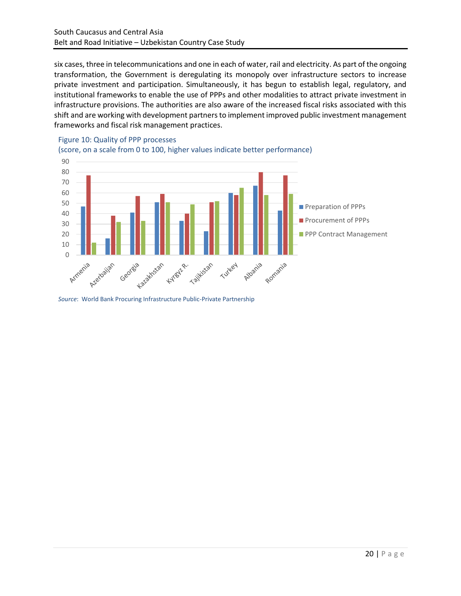six cases, three in telecommunications and one in each of water, rail and electricity. As part of the ongoing transformation, the Government is deregulating its monopoly over infrastructure sectors to increase private investment and participation. Simultaneously, it has begun to establish legal, regulatory, and institutional frameworks to enable the use of PPPs and other modalities to attract private investment in infrastructure provisions. The authorities are also aware of the increased fiscal risks associated with this shift and are working with development partners to implement improved public investment management frameworks and fiscal risk management practices.

#### (score, on a scale from 0 to 100, higher values indicate better performance) 90 80 70 60 50 **Preparation of PPPs** 40 **Procurement of PPPs** 30 20 **PPP Contract Management** 10 Armenia Azerbaijan talakhstan Georgia Kyrestre. Tailkistan Albania Romania Turkey



*Source*: World Bank Procuring Infrastructure Public-Private Partnership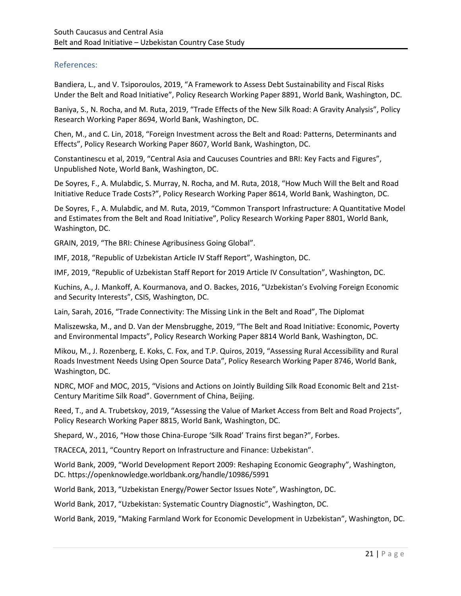### References:

Bandiera, L., and V. Tsiporoulos, 2019, "A Framework to Assess Debt Sustainability and Fiscal Risks Under the Belt and Road Initiative", Policy Research Working Paper 8891, World Bank, Washington, DC.

Baniya, S., N. Rocha, and M. Ruta, 2019, "Trade Effects of the New Silk Road: A Gravity Analysis", Policy Research Working Paper 8694, World Bank, Washington, DC.

Chen, M., and C. Lin, 2018, "Foreign Investment across the Belt and Road: Patterns, Determinants and Effects", Policy Research Working Paper 8607, World Bank, Washington, DC.

Constantinescu et al, 2019, "Central Asia and Caucuses Countries and BRI: Key Facts and Figures", Unpublished Note, World Bank, Washington, DC.

De Soyres, F., A. Mulabdic, S. Murray, N. Rocha, and M. Ruta, 2018, "How Much Will the Belt and Road Initiative Reduce Trade Costs?", Policy Research Working Paper 8614, World Bank, Washington, DC.

De Soyres, F., A. Mulabdic, and M. Ruta, 2019, "Common Transport Infrastructure: A Quantitative Model and Estimates from the Belt and Road Initiative", Policy Research Working Paper 8801, World Bank, Washington, DC.

GRAIN, 2019, "The BRI: Chinese Agribusiness Going Global".

IMF, 2018, "Republic of Uzbekistan Article IV Staff Report", Washington, DC.

IMF, 2019, "Republic of Uzbekistan Staff Report for 2019 Article IV Consultation", Washington, DC.

Kuchins, A., J. Mankoff, A. Kourmanova, and O. Backes, 2016, "Uzbekistan's Evolving Foreign Economic and Security Interests", CSIS, Washington, DC.

Lain, Sarah, 2016, "Trade Connectivity: The Missing Link in the Belt and Road", The Diplomat

Maliszewska, M., and D. Van der Mensbrugghe, 2019, "The Belt and Road Initiative: Economic, Poverty and Environmental Impacts", Policy Research Working Paper 8814 World Bank, Washington, DC.

Mikou, M., J. Rozenberg, E. Koks, C. Fox, and T.P. Quiros, 2019, "Assessing Rural Accessibility and Rural Roads Investment Needs Using Open Source Data", Policy Research Working Paper 8746, World Bank, Washington, DC.

NDRC, MOF and MOC, 2015, "Visions and Actions on Jointly Building Silk Road Economic Belt and 21st-Century Maritime Silk Road". Government of China, Beijing.

Reed, T., and A. Trubetskoy, 2019, "Assessing the Value of Market Access from Belt and Road Projects", Policy Research Working Paper 8815, World Bank, Washington, DC.

Shepard, W., 2016, "How those China-Europe 'Silk Road' Trains first began?", Forbes.

TRACECA, 2011, "Country Report on Infrastructure and Finance: Uzbekistan".

World Bank, 2009, "World Development Report 2009: Reshaping Economic Geography", Washington, DC. https://openknowledge.worldbank.org/handle/10986/5991

World Bank, 2013, "Uzbekistan Energy/Power Sector Issues Note", Washington, DC.

World Bank, 2017, "Uzbekistan: Systematic Country Diagnostic", Washington, DC.

World Bank, 2019, "Making Farmland Work for Economic Development in Uzbekistan", Washington, DC.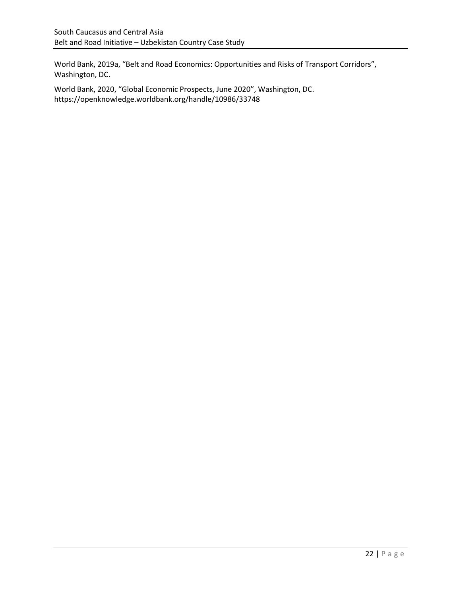World Bank, 2019a, "Belt and Road Economics: Opportunities and Risks of Transport Corridors", Washington, DC.

World Bank, 2020, "Global Economic Prospects, June 2020", Washington, DC. https://openknowledge.worldbank.org/handle/10986/33748